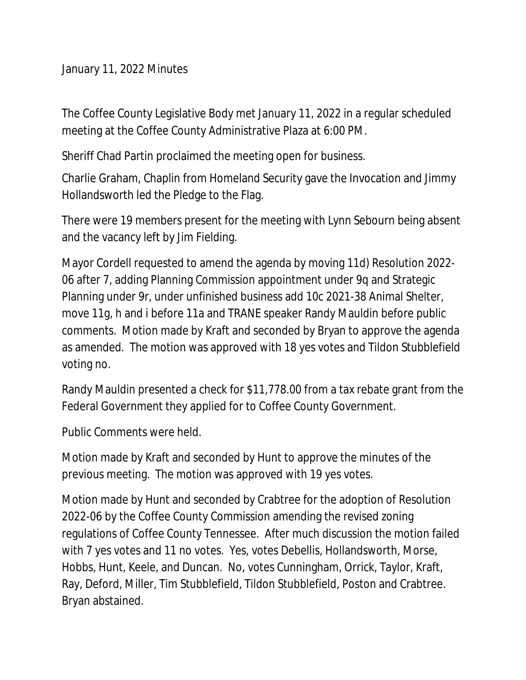January 11, 2022 Minutes

The Coffee County Legislative Body met January 11, 2022 in a regular scheduled meeting at the Coffee County Administrative Plaza at 6:00 PM.

Sheriff Chad Partin proclaimed the meeting open for business.

Charlie Graham, Chaplin from Homeland Security gave the Invocation and Jimmy Hollandsworth led the Pledge to the Flag.

There were 19 members present for the meeting with Lynn Sebourn being absent and the vacancy left by Jim Fielding.

Mayor Cordell requested to amend the agenda by moving 11d) Resolution 2022- 06 after 7, adding Planning Commission appointment under 9q and Strategic Planning under 9r, under unfinished business add 10c 2021-38 Animal Shelter, move 11g, h and i before 11a and TRANE speaker Randy Mauldin before public comments. Motion made by Kraft and seconded by Bryan to approve the agenda as amended. The motion was approved with 18 yes votes and Tildon Stubblefield voting no.

Randy Mauldin presented a check for \$11,778.00 from a tax rebate grant from the Federal Government they applied for to Coffee County Government.

Public Comments were held.

Motion made by Kraft and seconded by Hunt to approve the minutes of the previous meeting. The motion was approved with 19 yes votes.

Motion made by Hunt and seconded by Crabtree for the adoption of Resolution 2022-06 by the Coffee County Commission amending the revised zoning regulations of Coffee County Tennessee. After much discussion the motion failed with 7 yes votes and 11 no votes. Yes, votes Debellis, Hollandsworth, Morse, Hobbs, Hunt, Keele, and Duncan. No, votes Cunningham, Orrick, Taylor, Kraft, Ray, Deford, Miller, Tim Stubblefield, Tildon Stubblefield, Poston and Crabtree. Bryan abstained.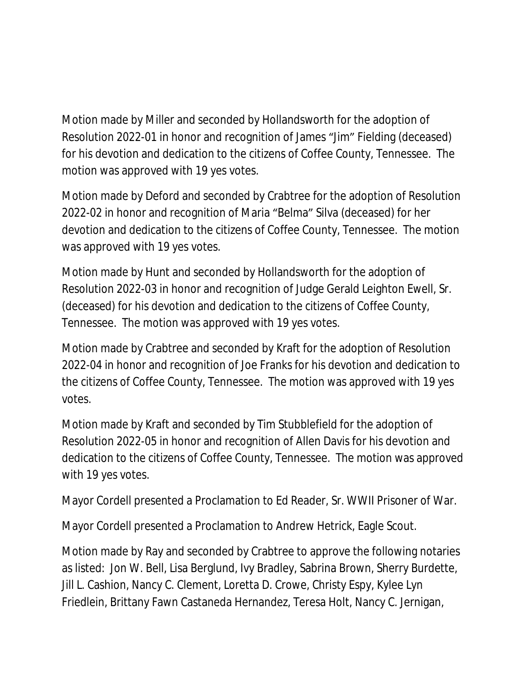Motion made by Miller and seconded by Hollandsworth for the adoption of Resolution 2022-01 in honor and recognition of James "Jim" Fielding (deceased) for his devotion and dedication to the citizens of Coffee County, Tennessee. The motion was approved with 19 yes votes.

Motion made by Deford and seconded by Crabtree for the adoption of Resolution 2022-02 in honor and recognition of Maria "Belma" Silva (deceased) for her devotion and dedication to the citizens of Coffee County, Tennessee. The motion was approved with 19 yes votes.

Motion made by Hunt and seconded by Hollandsworth for the adoption of Resolution 2022-03 in honor and recognition of Judge Gerald Leighton Ewell, Sr. (deceased) for his devotion and dedication to the citizens of Coffee County, Tennessee. The motion was approved with 19 yes votes.

Motion made by Crabtree and seconded by Kraft for the adoption of Resolution 2022-04 in honor and recognition of Joe Franks for his devotion and dedication to the citizens of Coffee County, Tennessee. The motion was approved with 19 yes votes.

Motion made by Kraft and seconded by Tim Stubblefield for the adoption of Resolution 2022-05 in honor and recognition of Allen Davis for his devotion and dedication to the citizens of Coffee County, Tennessee. The motion was approved with 19 yes votes.

Mayor Cordell presented a Proclamation to Ed Reader, Sr. WWII Prisoner of War.

Mayor Cordell presented a Proclamation to Andrew Hetrick, Eagle Scout.

Motion made by Ray and seconded by Crabtree to approve the following notaries as listed: Jon W. Bell, Lisa Berglund, Ivy Bradley, Sabrina Brown, Sherry Burdette, Jill L. Cashion, Nancy C. Clement, Loretta D. Crowe, Christy Espy, Kylee Lyn Friedlein, Brittany Fawn Castaneda Hernandez, Teresa Holt, Nancy C. Jernigan,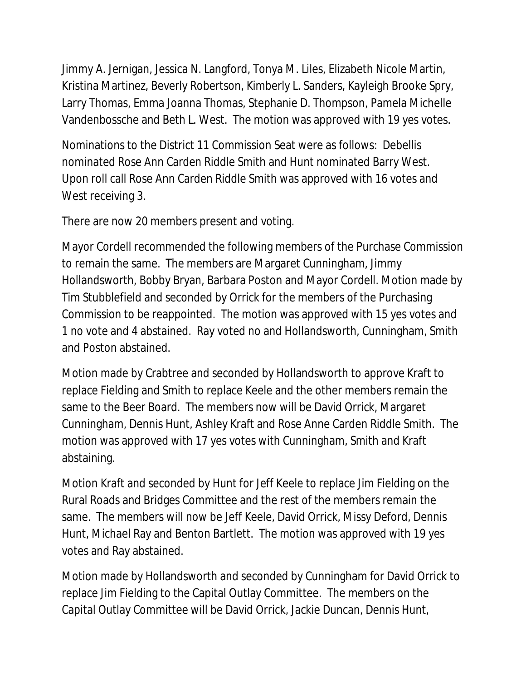Jimmy A. Jernigan, Jessica N. Langford, Tonya M. Liles, Elizabeth Nicole Martin, Kristina Martinez, Beverly Robertson, Kimberly L. Sanders, Kayleigh Brooke Spry, Larry Thomas, Emma Joanna Thomas, Stephanie D. Thompson, Pamela Michelle Vandenbossche and Beth L. West. The motion was approved with 19 yes votes.

Nominations to the District 11 Commission Seat were as follows: Debellis nominated Rose Ann Carden Riddle Smith and Hunt nominated Barry West. Upon roll call Rose Ann Carden Riddle Smith was approved with 16 votes and West receiving 3.

There are now 20 members present and voting.

Mayor Cordell recommended the following members of the Purchase Commission to remain the same. The members are Margaret Cunningham, Jimmy Hollandsworth, Bobby Bryan, Barbara Poston and Mayor Cordell. Motion made by Tim Stubblefield and seconded by Orrick for the members of the Purchasing Commission to be reappointed. The motion was approved with 15 yes votes and 1 no vote and 4 abstained. Ray voted no and Hollandsworth, Cunningham, Smith and Poston abstained.

Motion made by Crabtree and seconded by Hollandsworth to approve Kraft to replace Fielding and Smith to replace Keele and the other members remain the same to the Beer Board. The members now will be David Orrick, Margaret Cunningham, Dennis Hunt, Ashley Kraft and Rose Anne Carden Riddle Smith. The motion was approved with 17 yes votes with Cunningham, Smith and Kraft abstaining.

Motion Kraft and seconded by Hunt for Jeff Keele to replace Jim Fielding on the Rural Roads and Bridges Committee and the rest of the members remain the same. The members will now be Jeff Keele, David Orrick, Missy Deford, Dennis Hunt, Michael Ray and Benton Bartlett. The motion was approved with 19 yes votes and Ray abstained.

Motion made by Hollandsworth and seconded by Cunningham for David Orrick to replace Jim Fielding to the Capital Outlay Committee. The members on the Capital Outlay Committee will be David Orrick, Jackie Duncan, Dennis Hunt,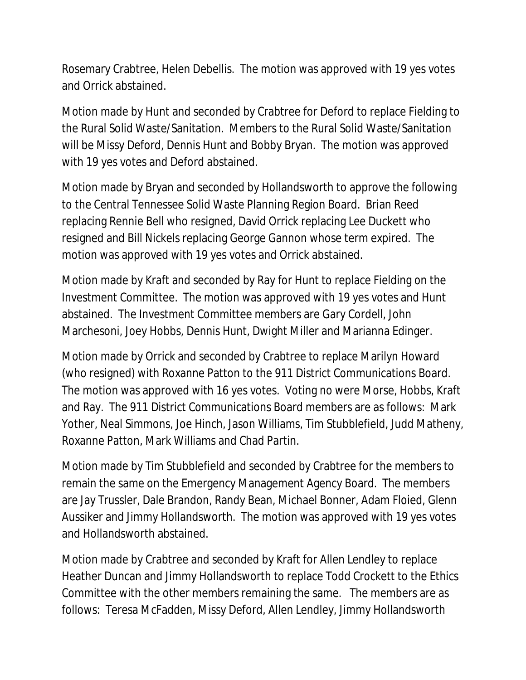Rosemary Crabtree, Helen Debellis. The motion was approved with 19 yes votes and Orrick abstained.

Motion made by Hunt and seconded by Crabtree for Deford to replace Fielding to the Rural Solid Waste/Sanitation. Members to the Rural Solid Waste/Sanitation will be Missy Deford, Dennis Hunt and Bobby Bryan. The motion was approved with 19 yes votes and Deford abstained.

Motion made by Bryan and seconded by Hollandsworth to approve the following to the Central Tennessee Solid Waste Planning Region Board. Brian Reed replacing Rennie Bell who resigned, David Orrick replacing Lee Duckett who resigned and Bill Nickels replacing George Gannon whose term expired. The motion was approved with 19 yes votes and Orrick abstained.

Motion made by Kraft and seconded by Ray for Hunt to replace Fielding on the Investment Committee. The motion was approved with 19 yes votes and Hunt abstained. The Investment Committee members are Gary Cordell, John Marchesoni, Joey Hobbs, Dennis Hunt, Dwight Miller and Marianna Edinger.

Motion made by Orrick and seconded by Crabtree to replace Marilyn Howard (who resigned) with Roxanne Patton to the 911 District Communications Board. The motion was approved with 16 yes votes. Voting no were Morse, Hobbs, Kraft and Ray. The 911 District Communications Board members are as follows: Mark Yother, Neal Simmons, Joe Hinch, Jason Williams, Tim Stubblefield, Judd Matheny, Roxanne Patton, Mark Williams and Chad Partin.

Motion made by Tim Stubblefield and seconded by Crabtree for the members to remain the same on the Emergency Management Agency Board. The members are Jay Trussler, Dale Brandon, Randy Bean, Michael Bonner, Adam Floied, Glenn Aussiker and Jimmy Hollandsworth. The motion was approved with 19 yes votes and Hollandsworth abstained.

Motion made by Crabtree and seconded by Kraft for Allen Lendley to replace Heather Duncan and Jimmy Hollandsworth to replace Todd Crockett to the Ethics Committee with the other members remaining the same. The members are as follows: Teresa McFadden, Missy Deford, Allen Lendley, Jimmy Hollandsworth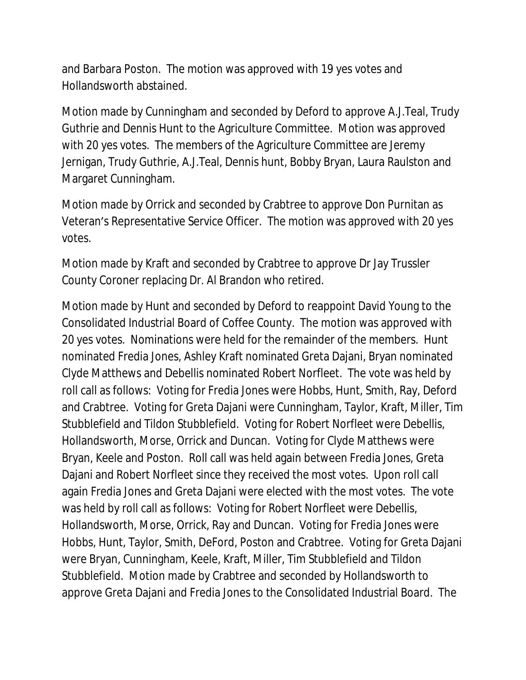and Barbara Poston. The motion was approved with 19 yes votes and Hollandsworth abstained.

Motion made by Cunningham and seconded by Deford to approve A.J.Teal, Trudy Guthrie and Dennis Hunt to the Agriculture Committee. Motion was approved with 20 yes votes. The members of the Agriculture Committee are Jeremy Jernigan, Trudy Guthrie, A.J.Teal, Dennis hunt, Bobby Bryan, Laura Raulston and Margaret Cunningham.

Motion made by Orrick and seconded by Crabtree to approve Don Purnitan as Veteran's Representative Service Officer. The motion was approved with 20 yes votes.

Motion made by Kraft and seconded by Crabtree to approve Dr Jay Trussler County Coroner replacing Dr. Al Brandon who retired.

Motion made by Hunt and seconded by Deford to reappoint David Young to the Consolidated Industrial Board of Coffee County. The motion was approved with 20 yes votes. Nominations were held for the remainder of the members. Hunt nominated Fredia Jones, Ashley Kraft nominated Greta Dajani, Bryan nominated Clyde Matthews and Debellis nominated Robert Norfleet. The vote was held by roll call as follows: Voting for Fredia Jones were Hobbs, Hunt, Smith, Ray, Deford and Crabtree. Voting for Greta Dajani were Cunningham, Taylor, Kraft, Miller, Tim Stubblefield and Tildon Stubblefield. Voting for Robert Norfleet were Debellis, Hollandsworth, Morse, Orrick and Duncan. Voting for Clyde Matthews were Bryan, Keele and Poston. Roll call was held again between Fredia Jones, Greta Dajani and Robert Norfleet since they received the most votes. Upon roll call again Fredia Jones and Greta Dajani were elected with the most votes. The vote was held by roll call as follows: Voting for Robert Norfleet were Debellis, Hollandsworth, Morse, Orrick, Ray and Duncan. Voting for Fredia Jones were Hobbs, Hunt, Taylor, Smith, DeFord, Poston and Crabtree. Voting for Greta Dajani were Bryan, Cunningham, Keele, Kraft, Miller, Tim Stubblefield and Tildon Stubblefield. Motion made by Crabtree and seconded by Hollandsworth to approve Greta Dajani and Fredia Jones to the Consolidated Industrial Board. The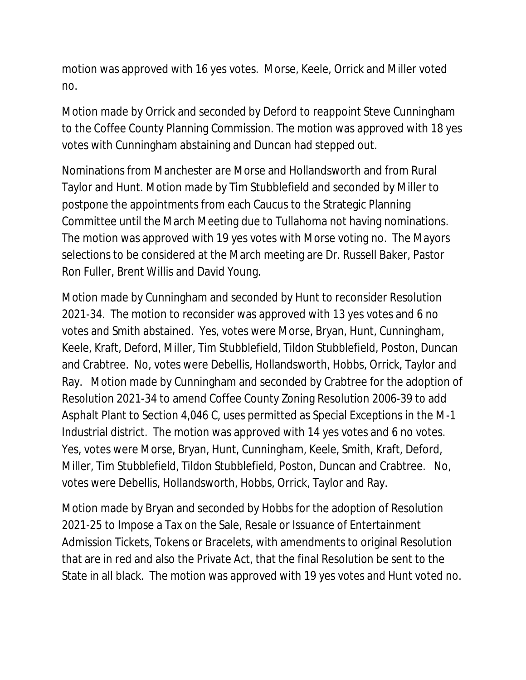motion was approved with 16 yes votes. Morse, Keele, Orrick and Miller voted no.

Motion made by Orrick and seconded by Deford to reappoint Steve Cunningham to the Coffee County Planning Commission. The motion was approved with 18 yes votes with Cunningham abstaining and Duncan had stepped out.

Nominations from Manchester are Morse and Hollandsworth and from Rural Taylor and Hunt. Motion made by Tim Stubblefield and seconded by Miller to postpone the appointments from each Caucus to the Strategic Planning Committee until the March Meeting due to Tullahoma not having nominations. The motion was approved with 19 yes votes with Morse voting no. The Mayors selections to be considered at the March meeting are Dr. Russell Baker, Pastor Ron Fuller, Brent Willis and David Young.

Motion made by Cunningham and seconded by Hunt to reconsider Resolution 2021-34. The motion to reconsider was approved with 13 yes votes and 6 no votes and Smith abstained. Yes, votes were Morse, Bryan, Hunt, Cunningham, Keele, Kraft, Deford, Miller, Tim Stubblefield, Tildon Stubblefield, Poston, Duncan and Crabtree. No, votes were Debellis, Hollandsworth, Hobbs, Orrick, Taylor and Ray. Motion made by Cunningham and seconded by Crabtree for the adoption of Resolution 2021-34 to amend Coffee County Zoning Resolution 2006-39 to add Asphalt Plant to Section 4,046 C, uses permitted as Special Exceptions in the M-1 Industrial district. The motion was approved with 14 yes votes and 6 no votes. Yes, votes were Morse, Bryan, Hunt, Cunningham, Keele, Smith, Kraft, Deford, Miller, Tim Stubblefield, Tildon Stubblefield, Poston, Duncan and Crabtree. No, votes were Debellis, Hollandsworth, Hobbs, Orrick, Taylor and Ray.

Motion made by Bryan and seconded by Hobbs for the adoption of Resolution 2021-25 to Impose a Tax on the Sale, Resale or Issuance of Entertainment Admission Tickets, Tokens or Bracelets, with amendments to original Resolution that are in red and also the Private Act, that the final Resolution be sent to the State in all black. The motion was approved with 19 yes votes and Hunt voted no.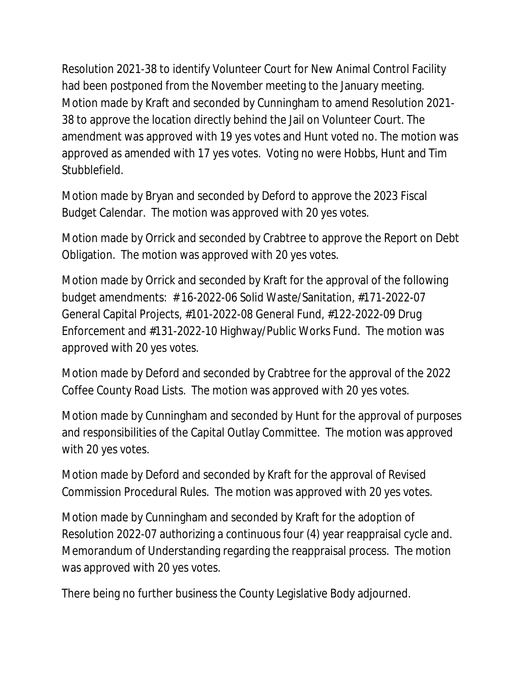Resolution 2021-38 to identify Volunteer Court for New Animal Control Facility had been postponed from the November meeting to the January meeting. Motion made by Kraft and seconded by Cunningham to amend Resolution 2021- 38 to approve the location directly behind the Jail on Volunteer Court. The amendment was approved with 19 yes votes and Hunt voted no. The motion was approved as amended with 17 yes votes. Voting no were Hobbs, Hunt and Tim Stubblefield.

Motion made by Bryan and seconded by Deford to approve the 2023 Fiscal Budget Calendar. The motion was approved with 20 yes votes.

Motion made by Orrick and seconded by Crabtree to approve the Report on Debt Obligation. The motion was approved with 20 yes votes.

Motion made by Orrick and seconded by Kraft for the approval of the following budget amendments: # 16-2022-06 Solid Waste/Sanitation, #171-2022-07 General Capital Projects, #101-2022-08 General Fund, #122-2022-09 Drug Enforcement and #131-2022-10 Highway/Public Works Fund. The motion was approved with 20 yes votes.

Motion made by Deford and seconded by Crabtree for the approval of the 2022 Coffee County Road Lists. The motion was approved with 20 yes votes.

Motion made by Cunningham and seconded by Hunt for the approval of purposes and responsibilities of the Capital Outlay Committee. The motion was approved with 20 yes votes.

Motion made by Deford and seconded by Kraft for the approval of Revised Commission Procedural Rules. The motion was approved with 20 yes votes.

Motion made by Cunningham and seconded by Kraft for the adoption of Resolution 2022-07 authorizing a continuous four (4) year reappraisal cycle and. Memorandum of Understanding regarding the reappraisal process. The motion was approved with 20 yes votes.

There being no further business the County Legislative Body adjourned.